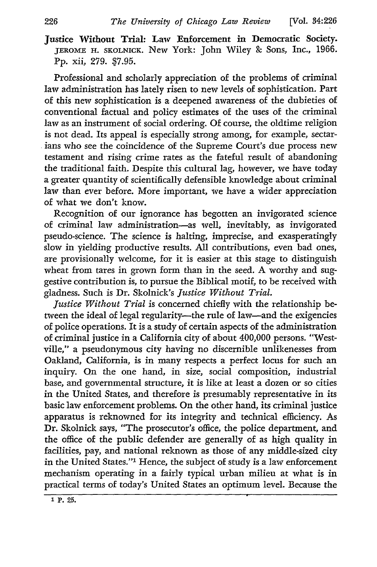Justice Without Trial: Law Enforcement in Democratic Society. JEROME **H.** SKOLNICK. New York: John Wiley **&** Sons, Inc., 1966. **Pp.** xii, **279. \$7.95.**

Professional and scholarly appreciation of the problems of criminal law administration has lately risen to new levels of sophistication. Part of this new sophistication is a deepened awareness of the dubieties of conventional factual and policy estimates of the uses of the criminal law as an instrument of social ordering. **Of** course, the oldtime religion is not dead. Its appeal is especially strong among, for example, sectarians who see the coincidence of the Supreme Court's due process new testament and rising crime rates as the fateful result of abandoning the traditional faith. Despite this cultural lag, however, we have today a greater quantity of scientifically defensible knowledge about criminal law than ever before. More important, we have a wider appreciation of what we don't know.

Recognition of our ignorance has begotten an invigorated science of criminal law administration-as well, inevitably, as invigorated pseudo-science. The science is halting, imprecise, and exasperatingly slow in yielding productive results. All contributions, even bad ones, are provisionally welcome, for it is easier at this stage to distinguish wheat from tares in grown form than in the seed. A worthy and suggestive contribution is, to pursue the Biblical motif, to be received with gladness. Such is Dr. Skolnick's *Justice Without Trial.*

*Justice Without Trial* is concerned chiefly with the relationship between the ideal of legal regularity—the rule of law—and the exigencies of police operations. It is a study of certain aspects of the administration of criminal justice in a California city of about 400,000 persons. "Westville," a pseudonymous city having no discernible unlikenesses from Oakland, California, is in many respects a perfect locus for such an inquiry. On the one hand, in size, social composition, industrial base, and governmental structure, it is like at least a dozen or so cities in the United States, and therefore is presumably representative in its basic law enforcement problems. On the other hand, its criminal justice apparatus is reknowned for its integrity and technical efficiency. As Dr. Skolnick says, "The prosecutor's office, the police department, and the office of the public defender are generally of as high quality in facilities, pay, and national reknown as those of any middle-sized city in the United States."' Hence, the subject of study is a law enforcement mechanism operating in a fairly typical urban milieu at what is in practical terms of today's United States an optimum level. Because the

**<sup>1</sup>** p. **Z5.**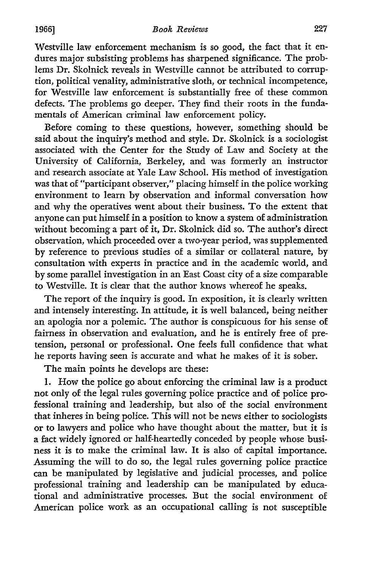Westville law enforcement mechanism is so good, the fact that it endures major subsisting problems has sharpened significance. The problems Dr. Skolnick reveals in Westville cannot be attributed to corruption, political venality, administrative sloth, or technical incompetence, for Westville law enforcement is substantially free of these common defects. The problems go deeper. They find their roots in the fundamentals of American criminal law enforcement policy.

Before coming to these questions, however, something should be said about the inquiry's method and style. Dr. Skolnick is a sociologist associated with the Center for the Study of Law and Society at the University of California, Berkeley, and was formerly an instructor and research associate at Yale Law School. His method of investigation was that of "participant observer," placing himself in the police working environment to learn by observation and informal conversation how and why the operatives went about their business. To the extent that anyone can put himself in a position to know a system of administration without becoming a part of it, Dr. Skolnick did so. The author's direct observation, which proceeded over a two-year period, was supplemented by reference to previous studies of a similar or collateral nature, by consultation with experts in practice and in the academic world, and by some parallel investigation in an East Coast city of a size comparable to Westville. It is clear that the author knows whereof he speaks.

The report of the inquiry is good. In exposition, it is clearly written and intensely interesting. In attitude, it is well balanced, being neither an apologia nor a polemic. The author is conspicuous for his sense of fairness in observation and evaluation, and he is entirely free of pretension, personal or professional. One feels full confidence that what he reports having seen is accurate and what he makes of it is sober.

The main points he develops are these:

1. How the police go about enforcing the criminal law is a product not only of the legal rules governing police practice and of police professional training and leadership, but also of the social environment that inheres in being police. This will not be news either to sociologists or to lawyers and police who have thought about the matter, but it is a fact widely ignored or half-heartedly conceded by people whose business it is to make the criminal law. It is also of capital importance. Assuming the will to do so, the legal rules governing police practice can be manipulated by legislative and judicial processes, and police professional training and leadership can be manipulated by educational and administrative processes. But the social environment of American police work as an occupational calling is not susceptible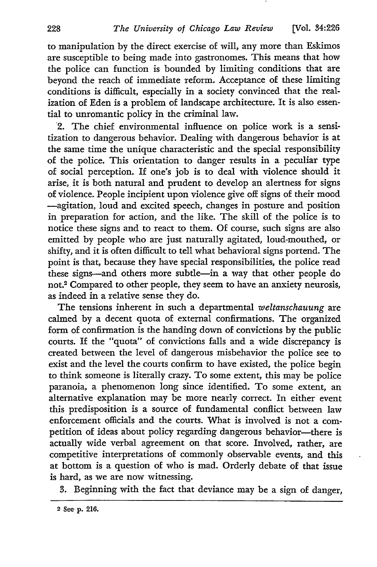to manipulation by the direct exercise of will, any more than Eskimos are susceptible to being made into gastronomes. This means that how the police can function is bounded by limiting conditions that are beyond the reach of immediate reform. Acceptance of these limiting conditions is difficult, especially in a society convinced that the realization of Eden is a problem of landscape architecture. It is also essential to unromantic policy in the criminal law.

2. The chief environmental influence on police work is a sensitization to dangerous behavior. Dealing with dangerous behavior is at the same time the unique characteristic and the special responsibility of the police. This orientation to danger results in a peculiar type of social perception. If one's **job** is to deal with violence should it arise, it is both natural and prudent to develop an alertness for signs of violence. People incipient upon violence give off signs of their mood -agitation, loud and excited speech, changes in posture and position in preparation for action, and the like. The skill of the police is to notice these signs and to react to them. Of course, such signs are also emitted by people who are just naturally agitated, loud-mouthed, or shifty, and it is often difficult to tell what behavioral signs portend. The point is that, because they have special responsibilities, the police read these signs-and others more subtle-in a way that other people do not.2 Compared to other people, they seem to have an anxiety neurosis, as indeed in a relative sense they do.

The tensions inherent in such a departmental *weltanschauung* are calmed by a decent quota of external confirmations. The organized form of confirmation is the handing down of convictions by the public courts. If the "quota" of convictions falls and a wide discrepancy is created between the level of dangerous misbehavior the police see to exist and the level the courts confirm to have existed, the police begin to think someone is literally crazy. To some extent, this may be police paranoia, a phenomenon long since identified. To some extent, an alternative explanation may be more nearly correct. In either event this predisposition is a source of fundamental conflict between law enforcement officials and the courts. What is involved is not a competition of ideas about policy regarding dangerous behavior-there is actually wide verbal agreement on that score. Involved, rather, are competitive interpretations of commonly observable events, and this at bottom is a question of who is mad. Orderly debate of that issue is hard, as we are now witnessing.

3. Beginning with the fact that deviance may be a sign of danger,

<sup>2</sup> See **p.** 216.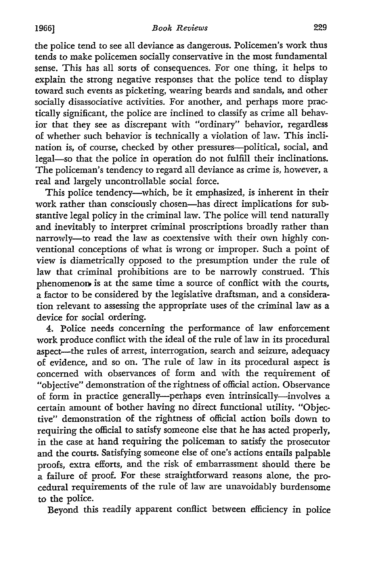the police tend to see all deviance as dangerous. Policemen's work thus tends to make policemen socially conservative in the most fundamental sense. This has all sorts of consequences. For one thing, it helps to explain the strong negative responses that the police tend to display toward such events as picketing, wearing beards and sandals, and other socially disassociative activities. For another, and perhaps more practically significant, the police are inclined to classify as crime all behavior that they see as discrepant with "ordinary" behavior, regardless of whether such behavior is technically a violation of law. This inclination is, of course, checked by other pressures-political, social, and legal-so that the police in operation do not fulfill their inclinations. The policeman's tendency to regard all deviance as crime is, however, a real and largely uncontrollable social force.

This police tendency-which, be it emphasized, is inherent in their work rather than consciously chosen-has direct implications for substantive legal policy in the criminal law. The police will tend naturally and inevitably to interpret criminal proscriptions broadly rather than narrowly-to read the law as coextensive with their own highly conventional conceptions of what is wrong or improper. Such a point of view is diametrically opposed to the presumption under the rule of law that criminal prohibitions are to be narrowly construed. This phenomenon, is at the same time a source of conflict with the courts, a factor to be considered by the legislative draftsman, and a consideration relevant to assessing the appropriate uses of the criminal law as a device for social ordering.

4. Police needs concerning the performance of law enforcement work produce conflict with the ideal of the rule of law in its procedural aspect-the rules of arrest, interrogation, search and seizure, adequacy of evidence, and so on. The rule of law in its procedural aspect is concerned with observances of form and with the requirement of "objective" demonstration of the rightness of official action. Observance of form in practice generally---perhaps even intrinsically-involves a certain amount of bother having no direct functional utility. "Objective" demonstration of the rightness of official action boils down to requiring the official to satisfy someone else that he has acted properly, in the case at hand requiring the policeman to satisfy the prosecutor and the courts. Satisfying someone else of one's actions entails palpable proofs, extra efforts, and the risk of embarrassment should there be a failure of proof. For these straightforward reasons alone, the procedural requirements of the rule of law are unavoidably burdensome to the police.

Beyond this readily apparent conflict between efficiency in police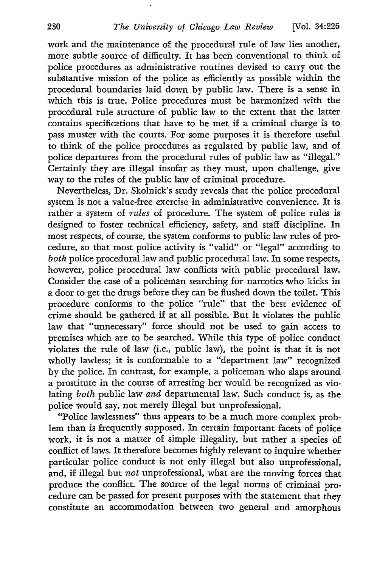work and the maintenance of the procedural rule of law lies another, more subtle source of difficulty. It has been conventional to think of police procedures as administrative routines devised to carry out the substantive mission of the police as efficiently as possible within the procedural boundaries laid down by public law. There is a sense in which this is true. Police procedures must be harmonized with the procedural rule structure of public law to the extent that the latter contains specifications that have to be met if a criminal charge is to pass muster with the courts. For some purposes it is therefore useful to think of the police procedures as regulated by public law, and of police departures from the procedural rules of public law as "illegal." Certainly they are illegal insofar as they must, upon challenge, give way to the rules of the public law of criminal procedure.

Nevertheless, Dr. Skolnick's study reveals that the police procedural system is not a value-free exercise in administrative convenience. It is rather a system of *rules* of procedure. The system of police rules is designed to foster technical efficiency, safety, and staff discipline. In most respects, of course, the system conforms to public law rules of procedure, so that most police activity is "valid" or "legal" according to *both* police procedural law and public procedural law. In some respects, however, police procedural law conflicts with public procedural law. Consider the case of a policeman searching for narcotics who kicks in a door to get the drugs before they can be flushed down the toilet. This procedure conforms to the police "rule" that the best evidence of crime should be gathered if at all possible. But it violates the public law that "unnecessary" force should not be used to gain access to premises which are to be searched. While this type of police conduct violates the rule of law (i.e., public law), the point is that it is not wholly lawless; it is conformable to a "department law" recognized by the police. In contrast, for example, a policeman who slaps around a prostitute in the course of arresting her would be recognized as violating *both* public law *and* departmental law. Such conduct is, as the police would say, not merely illegal but unprofessional.

"Police lawlessness" thus appears to be a much more complex problem than is frequently supposed. In certain important facets of police work, it is not a matter of simple illegality, but rather a species of conflict of laws. It therefore becomes highly relevant to inquire whether particular police conduct is not only illegal but also unprofessional, and, if illegal but *not* unprofessional, what are the moving forces that produce the conflict. The source of the legal norms of criminal procedure can be passed for present purposes with the statement that they constitute an accommodation between two general and amorphous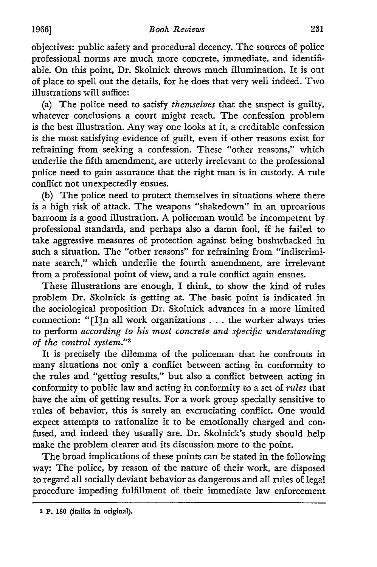objectives: public safety and procedural decency. The sources of police professional norms are much more concrete, immediate, and identifiable. On this point, Dr. Skolnick throws much illumination. It is out of place to spell out the details, for he does that very well indeed. Two illustrations will suffice:

(a) The police need to satisfy *themselves* that the suspect is guilty, whatever conclusions a court might reach. The confession problem is the best illustration. Any way one looks at it, a creditable confession is the most satisfying evidence of guilt, even if other reasons exist for refraining from seeking a confession. These "other reasons," which underlie the fifth amendment, are utterly irrelevant to the professional police need to gain assurance that the right man is in custody. **A** rule conflict not unexpectedly ensues.

(b) The police need to protect themselves in situations where there is a high risk of attack. The weapons "shakedown" in an uproarious barroom is a good illustration. **A** policeman would be incompetent by professional standards, and perhaps also a damn fool, if he failed to take aggressive measures of protection against being bushwhacked in such a situation. The "other reasons" for refraining from "indiscriminate search," which underlie the fourth amendment, are irrelevant from a professional point of view, and a rule conflict again ensues.

These illustrations are enough, I think, to show the kind of rules problem Dr. Skolnick is getting at. The basic point is indicated in the sociological proposition Dr. Skolnick advances in a more limited connection: " $[I]$ n all work organizations . . . the worker always tries to perform *according to his most concrete and specific understanding of the control system."'3*

It is precisely the dilemma of the policeman that he confronts in many situations not only a conflict between acting in conformity to the rules and "getting results," but also a conflict between acting in conformity to public law and acting in conformity to a set of *rules* that have the aim of getting results. For a work group specially sensitive to rules of behavior, this is surely an excruciating conflict. One would expect attempts to rationalize it to be emotionally charged and confused, and indeed they usually are. Dr. Skolnick's study should help make the problem clearer and its discussion more to the point.

The broad implications of these points can be stated in the following way: The police, by reason of the nature of their work, are disposed to regard all socially deviant behavior as dangerous and all rules of legal procedure impeding fulfillment of their immediate law enforcement

**<sup>3</sup> P. 180** (italics in original).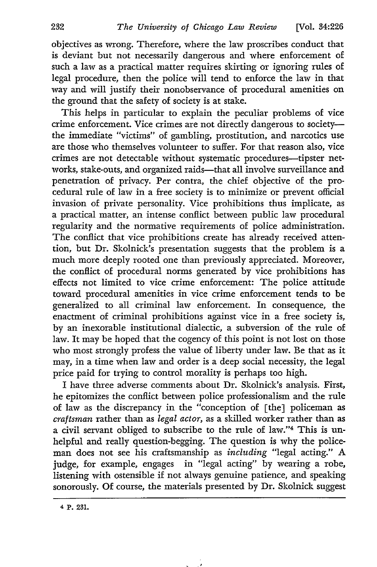objectives as wrong. Therefore, where the law proscribes conduct that is deviant but not necessarily dangerous and where enforcement of such a law as a practical matter requires skirting or ignoring rules of legal procedure, then the police will tend to enforce the law in that way and will justify their nonobservance of procedural amenities on the ground that the safety of society is at stake.

This helps in particular to explain the peculiar problems of vice crime enforcement. Vice crimes are not directly dangerous to societythe immediate "victims" of gambling, prostitution, and narcotics use are those who themselves volunteer to suffer. For that reason also, vice crimes are not detectable without systematic procedures-tipster networks, stake-outs, and organized raids-that all involve surveillance and penetration of privacy. Per contra, the chief objective of the procedural rule of law in a free society is to minimize or prevent official invasion of private personality. Vice prohibitions thus implicate, as a practical matter, an intense conflict between public law procedural regularity and the normative requirements of police administration. The conflict that vice prohibitions create has already received attention, but Dr. Skolnick's presentation suggests that the problem is a much more deeply rooted one than previously appreciated. Moreover, the conflict of procedural norms generated by vice prohibitions has effects not limited to vice crime enforcement: The police attitude toward procedural amenities in vice crime enforcement tends to be generalized to all criminal law enforcement. In consequence, the enactment of criminal prohibitions against vice in a free society is, by an inexorable institutional dialectic, a subversion of the rule of law. It may be hoped that the cogency of this point is not lost on those who most strongly profess the value of liberty under law. Be that as it may, in a time when law and order is a deep social necessity, the legal price paid for trying to control morality is perhaps too high.

I have three adverse comments about Dr. Skolnick's analysis. First, he epitomizes the conflict between police professionalism and the rule of law as the discrepancy in the "conception of [the] policeman as *craftsman* rather than as *legal actor,* as a skilled worker rather than as a civil servant obliged to subscribe to the rule of law."4 This is unhelpful and really question-begging. The question is why the policeman does not see his craftsmanship as *including* "legal acting." A judge, for example, engages in "legal acting" by wearing a robe, listening with ostensible if not always genuine patience, and speaking sonorously. Of course, the materials presented by Dr. Skolnick suggest

**<sup>4</sup> P. 231.**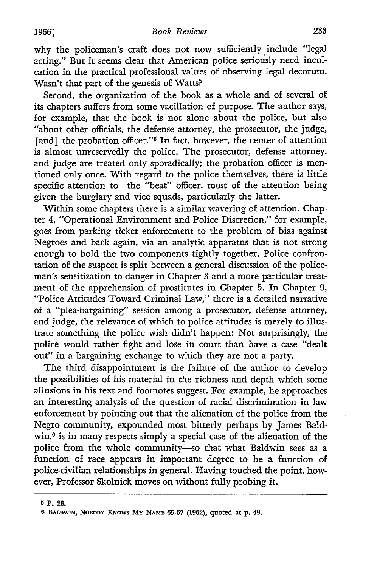why the policeman's craft does not now sufficiently include "legal acting." But it seems clear that American police seriously need inculcation in the practical professional values of observing legal decorum. Wasn't that part of the genesis of Watts?

Second, the organization of the book as a whole and of several of its chapters suffers from some vacillation of purpose. The author says, for example, that the book is not alone about the police, but also "about other officials, the defense attorney, the prosecutor, the judge, [and] the probation officer."<sup>5</sup> In fact, however, the center of attention is almost unreservedly the police. The prosecutor, defense attorney, and judge are treated only sporadically; the probation officer is mentioned only once. With regard to the police themselves, there is little specific attention to the "beat" officer, most of the attention being given the burglary and vice squads, particularly the latter.

Within some chapters there is a similar wavering of attention. Chapter *4,* "Operational Environment and Police Discretion," for example, goes from parking ticket enforcement to the problem of bias against Negroes and back again, via an analytic apparatus that is not strong enough to hold the two components tightly together. Police confrontation of the suspect is split between a general discussion of the policeman's sensitization to danger in Chapter **3** and a more particular treatment of the apprehension of prostitutes in Chapter 5. In Chapter 9, "Police Attitudes Toward Criminal Law," there is a detailed narrative of a "plea-bargaining" session among a prosecutor, defense attorney, and judge, the relevance of which to police attitudes is merely to illustrate something the police wish didn't happen: Not surprisingly, the police would rather fight and lose in court than have a case "dealt out" in a bargaining exchange to which they are not a party.

The third disappointment is the failure of the author to develop the possibilities of his material in the richness and depth which some allusions in his text and footnotes suggest. For example, he approaches an interesting analysis of the question of racial discrimination in law enforcement by pointing out that the alienation of the police from the Negro community, expounded most bitterly perhaps by James Baldwin,<sup>6</sup> is in many respects simply a special case of the alienation of the police from the whole community-so that what Baldwin sees as a function of race appears in important degree to be a function of police-civilian relationships in general. Having touched the point, however, Professor Skolnick moves on without fully probing it.

**Is P. 28.**

**<sup>6</sup> BAUwIN,** NOBODY **KNOWS My** NAME 65-67 **(1962),** quoted **at p.** 49.